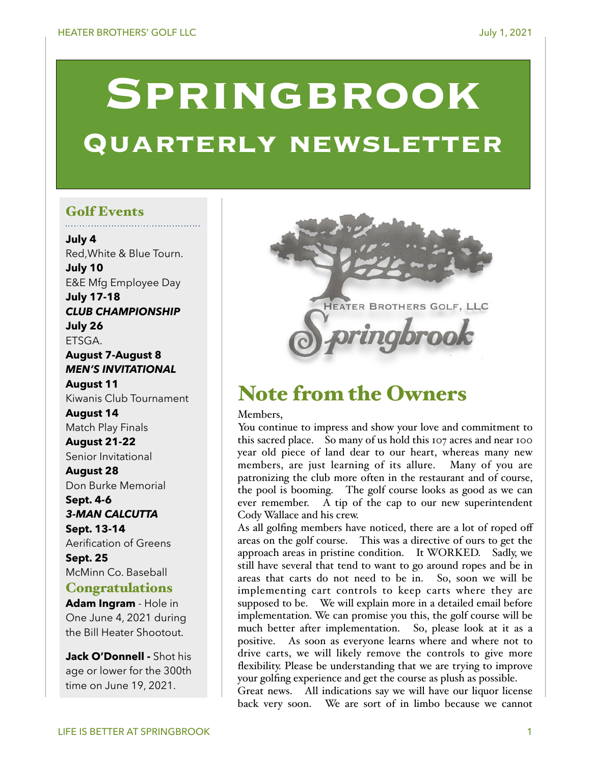# **SPRINGBROOK Quarterly newsletter**

# Golf Events

**July 4**  Red,White & Blue Tourn. **July 10**  E&E Mfg Employee Day **July 17-18**  *CLUB CHAMPIONSHIP*  **July 26**  ETSGA.

## **August 7-August 8**  *MEN'S INVITATIONAL*

**August 11**  Kiwanis Club Tournament

**August 14**  Match Play Finals

**August 21-22**  Senior Invitational

**August 28**  Don Burke Memorial

### **Sept. 4-6**  *3-MAN CALCUTTA*

**Sept. 13-14**  Aerification of Greens

**Sept. 25**  McMinn Co. Baseball

# **Congratulations**

**Adam Ingram** - Hole in One June 4, 2021 during the Bill Heater Shootout.

**Jack O'Donnell -** Shot his age or lower for the 300th time on June 19, 2021.



# Note from the Owners

Members,

You continue to impress and show your love and commitment to this sacred place. So many of us hold this 107 acres and near 100 year old piece of land dear to our heart, whereas many new members, are just learning of its allure. Many of you are patronizing the club more often in the restaurant and of course, the pool is booming. The golf course looks as good as we can ever remember. A tip of the cap to our new superintendent Cody Wallace and his crew.

As all golfing members have noticed, there are a lot of roped off areas on the golf course. This was a directive of ours to get the approach areas in pristine condition. It WORKED. Sadly, we still have several that tend to want to go around ropes and be in areas that carts do not need to be in. So, soon we will be implementing cart controls to keep carts where they are supposed to be. We will explain more in a detailed email before implementation. We can promise you this, the golf course will be much better after implementation. So, please look at it as a positive. As soon as everyone learns where and where not to drive carts, we will likely remove the controls to give more flexibility. Please be understanding that we are trying to improve your golfing experience and get the course as plush as possible.

Great news. All indications say we will have our liquor license back very soon. We are sort of in limbo because we cannot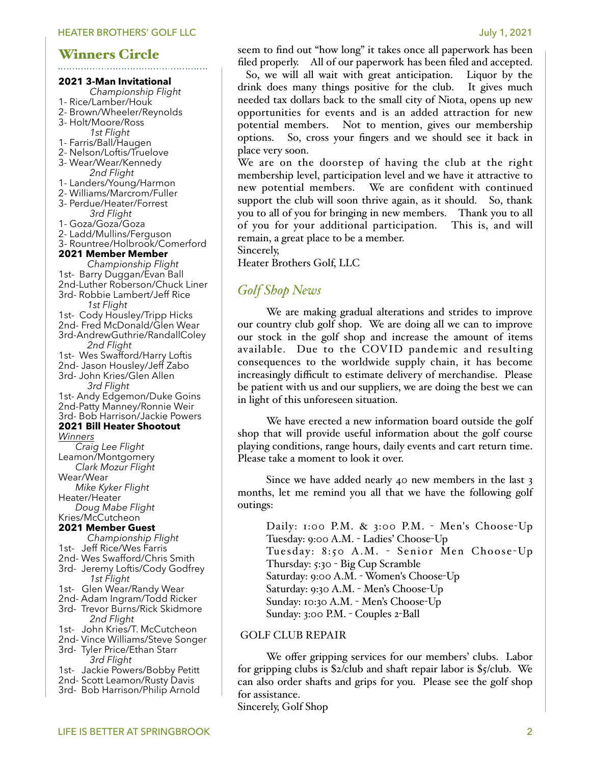# Winners Circle

#### **2021 3-Man Invitational**

- *Championship Flight*
- 1- Rice/Lamber/Houk
- 2- Brown/Wheeler/Reynolds
- 3- Holt/Moore/Ross *1st Flight*
- 1- Farris/Ball/Haugen
- 2- Nelson/Loftis/Truelove
- 3- Wear/Wear/Kennedy *2nd Flight*
- 1- Landers/Young/Harmon
- 2- Williams/Marcrom/Fuller
- 3- Perdue/Heater/Forrest *3rd Flight*
- 1- Goza/Goza/Goza
- 2- Ladd/Mullins/Ferguson
- 3- Rountree/Holbrook/Comerford

#### **2021 Member Member**

 *Championship Flight* 1st- Barry Duggan/Evan Ball 2nd-Luther Roberson/Chuck Liner 3rd- Robbie Lambert/Jeff Rice *1st Flight* 1st- Cody Housley/Tripp Hicks 2nd- Fred McDonald/Glen Wear 3rd-AndrewGuthrie/RandallColey *2nd Flight* 1st- Wes Swafford/Harry Loftis 2nd- Jason Housley/Jeff Zabo 3rd- John Kries/Glen Allen *3rd Flight* 1st- Andy Edgemon/Duke Goins 2nd-Patty Manney/Ronnie Weir 3rd- Bob Harrison/Jackie Powers **2021 Bill Heater Shootout** *Winners Craig Lee Flight* Leamon/Montgomery *Clark Mozur Flight* Wear/Wear *Mike Kyker Flight* Heater/Heater *Doug Mabe Flight* Kries/McCutcheon **2021 Member Guest** *Championship Flight* 1st- Jeff Rice/Wes Farris 2nd- Wes Swafford/Chris Smith 3rd- Jeremy Loftis/Cody Godfrey *1st Flight* 1st- Glen Wear/Randy Wear 2nd- Adam Ingram/Todd Ricker 3rd- Trevor Burns/Rick Skidmore *2nd Flight* 1st- John Kries/T. McCutcheon 2nd- Vince Williams/Steve Songer

- 3rd- Tyler Price/Ethan Starr *3rd Flight*
- 1st- Jackie Powers/Bobby Petitt
- 2nd- Scott Leamon/Rusty Davis
- 3rd- Bob Harrison/Philip Arnold

Sincerely, Golf Shop

seem to find out "how long" it takes once all paperwork has been

filed properly. All of our paperwork has been filed and accepted. So, we will all wait with great anticipation. Liquor by the drink does many things positive for the club. It gives much needed tax dollars back to the small city of Niota, opens up new opportunities for events and is an added attraction for new potential members. Not to mention, gives our membership options. So, cross your fingers and we should see it back in place very soon.

We are on the doorstep of having the club at the right membership level, participation level and we have it attractive to new potential members. We are confident with continued support the club will soon thrive again, as it should. So, thank you to all of you for bringing in new members. Thank you to all of you for your additional participation. This is, and will remain, a great place to be a member.

Sincerely,

Heater Brothers Golf, LLC

# *Golf Shop News*

We are making gradual alterations and strides to improve our country club golf shop. We are doing all we can to improve our stock in the golf shop and increase the amount of items available. Due to the COVID pandemic and resulting consequences to the worldwide supply chain, it has become increasingly difficult to estimate delivery of merchandise. Please be patient with us and our suppliers, we are doing the best we can in light of this unforeseen situation.

We have erected a new information board outside the golf shop that will provide useful information about the golf course playing conditions, range hours, daily events and cart return time. Please take a moment to look it over.

Since we have added nearly 40 new members in the last 3 months, let me remind you all that we have the following golf outings:

Daily: 1:00 P.M. & 3:00 P.M. - Men's Choose-Up Tuesday: 9:00 A.M. - Ladies' Choose-Up Tuesday: 8:50 A.M. - Senior Men Choose-Up Thursday: 5:30 - Big Cup Scramble Saturday: 9:00 A.M. - Women's Choose-Up Saturday: 9:30 A.M. - Men's Choose-Up Sunday: 10:30 A.M. - Men's Choose-Up Sunday: 3:00 P.M. - Couples 2-Ball

#### GOLF CLUB REPAIR

We offer gripping services for our members' clubs. Labor for gripping clubs is \$2/club and shaft repair labor is \$5/club. We can also order shafts and grips for you. Please see the golf shop for assistance.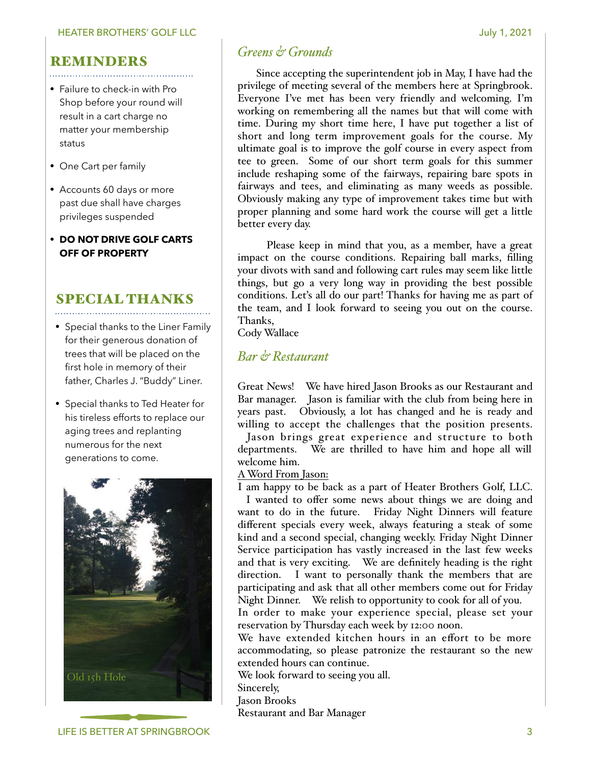# REMINDERS

- Failure to check-in with Pro Shop before your round will result in a cart charge no matter your membership status
- One Cart per family
- Accounts 60 days or more past due shall have charges privileges suspended
- **• DO NOT DRIVE GOLF CARTS OFF OF PROPERTY**

# SPECIAL THANKS

- Special thanks to the Liner Family for their generous donation of trees that will be placed on the first hole in memory of their father, Charles J. "Buddy" Liner.
- Special thanks to Ted Heater for his tireless efforts to replace our aging trees and replanting numerous for the next generations to come.



# *Greens & Grounds*

 Since accepting the superintendent job in May, I have had the privilege of meeting several of the members here at Springbrook. Everyone I've met has been very friendly and welcoming. I'm working on remembering all the names but that will come with time. During my short time here, I have put together a list of short and long term improvement goals for the course. My ultimate goal is to improve the golf course in every aspect from tee to green. Some of our short term goals for this summer include reshaping some of the fairways, repairing bare spots in fairways and tees, and eliminating as many weeds as possible. Obviously making any type of improvement takes time but with proper planning and some hard work the course will get a little better every day.

 Please keep in mind that you, as a member, have a great impact on the course conditions. Repairing ball marks, filling your divots with sand and following cart rules may seem like little things, but go a very long way in providing the best possible conditions. Let's all do our part! Thanks for having me as part of the team, and I look forward to seeing you out on the course. Thanks,

Cody Wallace

# *Bar & Restaurant*

Great News! We have hired Jason Brooks as our Restaurant and Bar manager. Jason is familiar with the club from being here in years past. Obviously, a lot has changed and he is ready and willing to accept the challenges that the position presents.

Jason brings great experience and structure to both departments. We are thrilled to have him and hope all will welcome him.

#### A Word From Jason:

I am happy to be back as a part of Heater Brothers Golf, LLC.

I wanted to offer some news about things we are doing and want to do in the future. Friday Night Dinners will feature different specials every week, always featuring a steak of some kind and a second special, changing weekly. Friday Night Dinner Service participation has vastly increased in the last few weeks and that is very exciting. We are definitely heading is the right direction. I want to personally thank the members that are participating and ask that all other members come out for Friday Night Dinner. We relish to opportunity to cook for all of you.

In order to make your experience special, please set your reservation by Thursday each week by 12:00 noon.

We have extended kitchen hours in an effort to be more accommodating, so please patronize the restaurant so the new extended hours can continue.

We look forward to seeing you all.

Sincerely,

Jason Brooks

Restaurant and Bar Manager